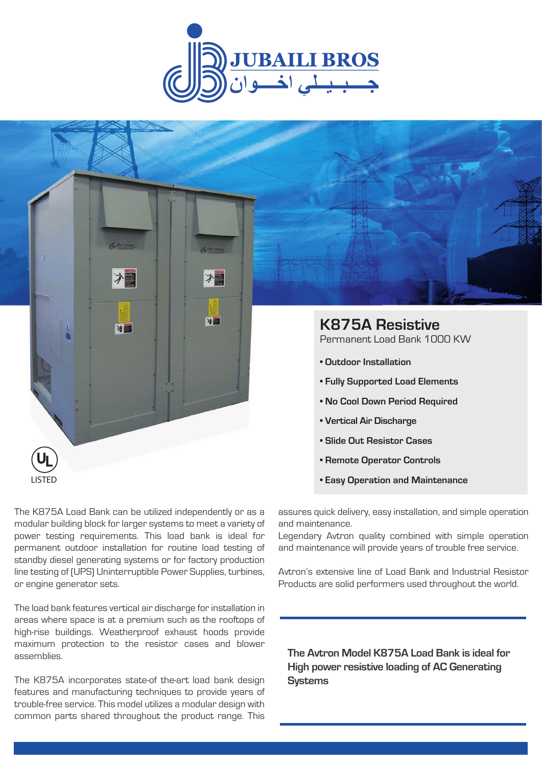



- **No Cool Down Period Required**
- **Vertical Air Discharge**
- **Slide Out Resistor Cases**
- **Remote Operator Controls**
- **Easy Operation and Maintenance**

The K875A Load Bank can be utilized independently or as a modular building block for larger systems to meet a variety of power testing requirements. This load bank is ideal for permanent outdoor installation for routine load testing of standby diesel generating systems or for factory production line testing of (UPS) Uninterruptible Power Supplies, turbines, or engine generator sets.

LISTED

The load bank features vertical air discharge for installation in areas where space is at a premium such as the rooftops of high-rise buildings. Weatherproof exhaust hoods provide maximum protection to the resistor cases and blower assemblies.

The K875A incorporates state-of the-art load bank design features and manufacturing techniques to provide years of trouble-free service. This model utilizes a modular design with common parts shared throughout the product range. This

assures quick delivery, easy installation, and simple operation and maintenance.

Legendary Avtron quality combined with simple operation and maintenance will provide years of trouble free service.

Avtron's extensive line of Load Bank and Industrial Resistor Products are solid performers used throughout the world.

**The Avtron Model K875A Load Bank is ideal for High power resistive loading of AC Generating Systems**